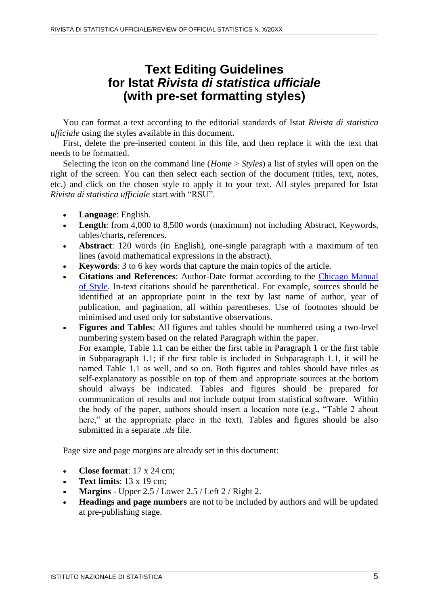## **Text Editing Guidelines for Istat** *Rivista di statistica ufficiale* **(with pre-set formatting styles)**

You can format a text according to the editorial standards of Istat *Rivista di statistica ufficiale* using the styles available in this document.

First, delete the pre-inserted content in this file, and then replace it with the text that needs to be formatted.

Selecting the icon on the command line (*Home* > *Styles*) a list of styles will open on the right of the screen. You can then select each section of the document (titles, text, notes, etc.) and click on the chosen style to apply it to your text. All styles prepared for Istat *Rivista di statistica ufficiale* start with "RSU".

- **Language**: English.
- **Length**: from 4,000 to 8,500 words (maximum) not including Abstract, Keywords, tables/charts, references.
- **Abstract**: 120 words (in English), one-single paragraph with a maximum of ten lines (avoid mathematical expressions in the abstract).
- **Keywords**: 3 to 6 key words that capture the main topics of the article.
- **Citations and References**: Author-Date format according to the [Chicago Manual](http://www.chicagomanualofstyle.org/tools_citationguide.html)  [of Style.](http://www.chicagomanualofstyle.org/tools_citationguide.html) In-text citations should be parenthetical. For example, sources should be identified at an appropriate point in the text by last name of author, year of publication, and pagination, all within parentheses. Use of footnotes should be minimised and used only for substantive observations.
- **Figures and Tables**: All figures and tables should be numbered using a two-level numbering system based on the related Paragraph within the paper. For example, Table 1.1 can be either the first table in Paragraph 1 or the first table in Subparagraph 1.1; if the first table is included in Subparagraph 1.1, it will be named Table 1.1 as well, and so on. Both figures and tables should have titles as self-explanatory as possible on top of them and appropriate sources at the bottom should always be indicated. Tables and figures should be prepared for communication of results and not include output from statistical software. Within the body of the paper, authors should insert a location note (e.g., "Table 2 about here," at the appropriate place in the text). Tables and figures should be also submitted in a separate *.xls* file.

Page size and page margins are already set in this document:

- Close format:  $17 \times 24$  cm;
- **Text limits**: 13 x 19 cm;
- Margins Upper 2.5 / Lower 2.5 / Left 2 / Right 2.
- **Headings and page numbers** are not to be included by authors and will be updated at pre-publishing stage.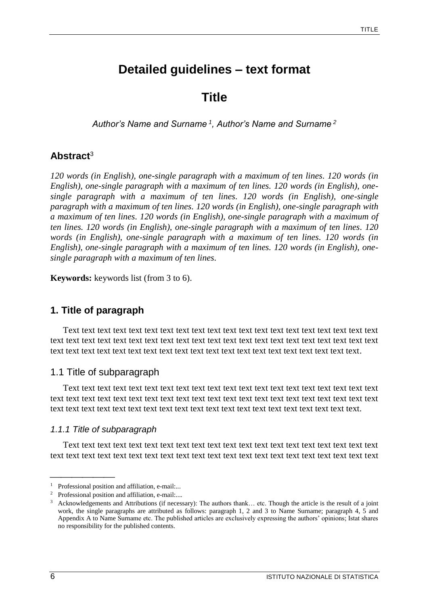# **Detailed guidelines – text format**

**Title**

*Author's Name and Surname <sup>1</sup> , Author's Name and Surname <sup>2</sup>*

#### **Abstract**<sup>3</sup>

*120 words (in English), one-single paragraph with a maximum of ten lines. 120 words (in English), one-single paragraph with a maximum of ten lines. 120 words (in English), onesingle paragraph with a maximum of ten lines. 120 words (in English), one-single paragraph with a maximum of ten lines. 120 words (in English), one-single paragraph with a maximum of ten lines. 120 words (in English), one-single paragraph with a maximum of ten lines. 120 words (in English), one-single paragraph with a maximum of ten lines. 120 words (in English), one-single paragraph with a maximum of ten lines. 120 words (in English), one-single paragraph with a maximum of ten lines. 120 words (in English), onesingle paragraph with a maximum of ten lines.*

**Keywords:** keywords list (from 3 to 6).

### **1. Title of paragraph**

Text text text text text text text text text text text text text text text text text text text text text text text text text text text text text text text text text text text text text text text text text text text text text text text text text text text text text text text text text text text text text.

#### 1.1 Title of subparagraph

Text text text text text text text text text text text text text text text text text text text text text text text text text text text text text text text text text text text text text text text text text text text text text text text text text text text text text text text text text text text text text.

#### *1.1.1 Title of subparagraph*

Text text text text text text text text text text text text text text text text text text text text text text text text text text text text text text text text text text text text text text text text text

<sup>1</sup> Professional position and affiliation, e-mail:...

<sup>2</sup> Professional position and affiliation, e-mail:....

 $3$  Acknowledgements and Attributions (if necessary): The authors thank... etc. Though the article is the result of a joint work, the single paragraphs are attributed as follows: paragraph 1, 2 and 3 to Name Surname; paragraph 4, 5 and Appendix A to Name Surname etc. The published articles are exclusively expressing the authors' opinions; Istat shares no responsibility for the published contents.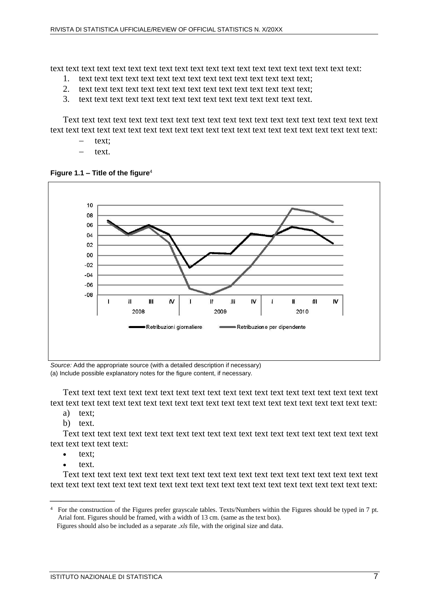text text text text text text text text text text text text text text text text text text text text:

- 1. text text text text text text text text text text text text text text text;
- 2. text text text text text text text text text text text text text text text;
- 3. text text text text text text text text text text text text text text text.

Text text text text text text text text text text text text text text text text text text text text text text text text text text text text text text text text text text text text text text text text text:

- text;
- text.

**Figure 1.1 – Title of the figure**<sup>4</sup>



*Source:* Add the appropriate source (with a detailed description if necessary) (a) Include possible explanatory notes for the figure content, if necessary.

Text text text text text text text text text text text text text text text text text text text text text text text text text text text text text text text text text text text text text text text text text:

- a) text;
- b) text.

Text text text text text text text text text text text text text text text text text text text text text text text text text:

- $\bullet$  text;
- text.

Text text text text text text text text text text text text text text text text text text text text text text text text text text text text text text text text text text text text text text text text text:

<sup>4</sup> For the construction of the Figures prefer grayscale tables. Texts/Numbers within the Figures should be typed in 7 pt. Arial font. Figures should be framed, with a width of 13 cm. (same as the text box).

Figures should also be included as a separate *.xls* file, with the original size and data.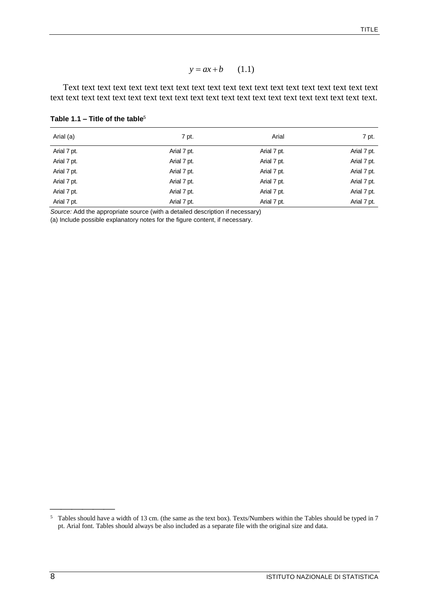$$
y = ax + b \qquad (1.1)
$$

| Table 1.1 – Title of the table <sup>5</sup> |
|---------------------------------------------|
|---------------------------------------------|

| $y = ax + b$<br>(1.1)<br>Table 1.1 – Title of the table <sup>5</sup> |                                                                                                                                                                                                                                    |             |                                  |  |             |             |             |             |
|----------------------------------------------------------------------|------------------------------------------------------------------------------------------------------------------------------------------------------------------------------------------------------------------------------------|-------------|----------------------------------|--|-------------|-------------|-------------|-------------|
|                                                                      |                                                                                                                                                                                                                                    |             |                                  |  | Arial (a)   | 7 pt.       | Arial       | 7 pt.       |
|                                                                      |                                                                                                                                                                                                                                    |             |                                  |  | Arial 7 pt. | Arial 7 pt. | Arial 7 pt. | Arial 7 pt. |
| Arial 7 pt.                                                          | Arial 7 pt.                                                                                                                                                                                                                        | Arial 7 pt. | Arial 7 pt.                      |  |             |             |             |             |
| Arial 7 pt.                                                          | Arial 7 pt.                                                                                                                                                                                                                        | Arial 7 pt. | Arial 7 pt.                      |  |             |             |             |             |
| Arial 7 pt.                                                          | Arial 7 pt.                                                                                                                                                                                                                        | Arial 7 pt. | Arial 7 pt.                      |  |             |             |             |             |
| Arial 7 pt.                                                          | Arial 7 pt.                                                                                                                                                                                                                        | Arial 7 pt. | Arial 7 pt.                      |  |             |             |             |             |
| Arial 7 pt.                                                          | Arial 7 pt.                                                                                                                                                                                                                        | Arial 7 pt. | Arial 7 pt.                      |  |             |             |             |             |
|                                                                      | (a) Include possible explanatory notes for the figure content, if necessary.                                                                                                                                                       |             |                                  |  |             |             |             |             |
|                                                                      |                                                                                                                                                                                                                                    |             |                                  |  |             |             |             |             |
|                                                                      |                                                                                                                                                                                                                                    |             |                                  |  |             |             |             |             |
|                                                                      |                                                                                                                                                                                                                                    |             |                                  |  |             |             |             |             |
| 5                                                                    | Tables should have a width of 13 cm. (the same as the text box). Texts/Numbers within the Tables should be typed in 7<br>pt. Arial font. Tables should always be also included as a separate file with the original size and data. |             |                                  |  |             |             |             |             |
| 8                                                                    |                                                                                                                                                                                                                                    |             | ISTITUTO NAZIONALE DI STATISTICA |  |             |             |             |             |

<sup>5</sup> Tables should have a width of 13 cm. (the same as the text box). Texts/Numbers within the Tables should be typed in 7 pt. Arial font. Tables should always be also included as a separate file with the original size and data.